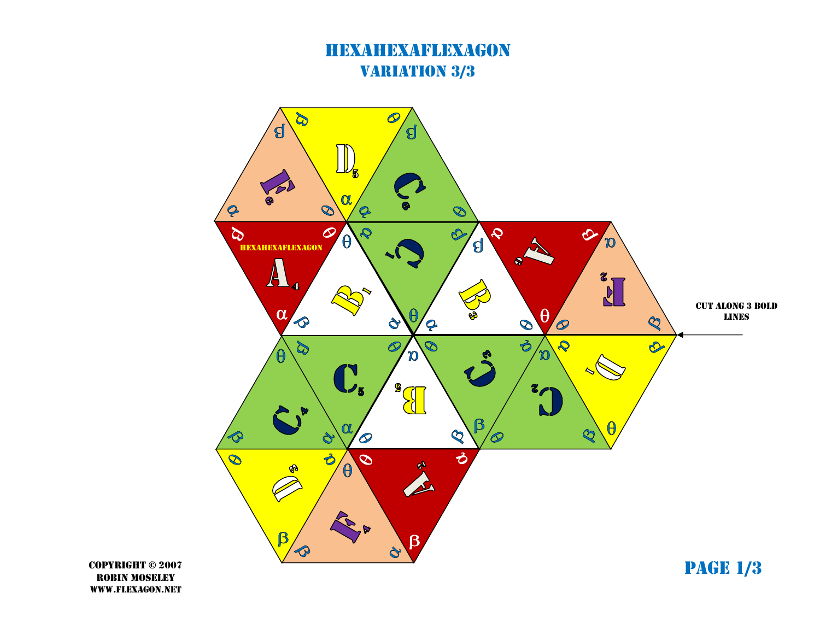## HEXAHEXAFLEXAGONVARIATION 3/3



COPYRIGHT © 2007ROBIN MOSELEYWWW.FLEXAGON.NET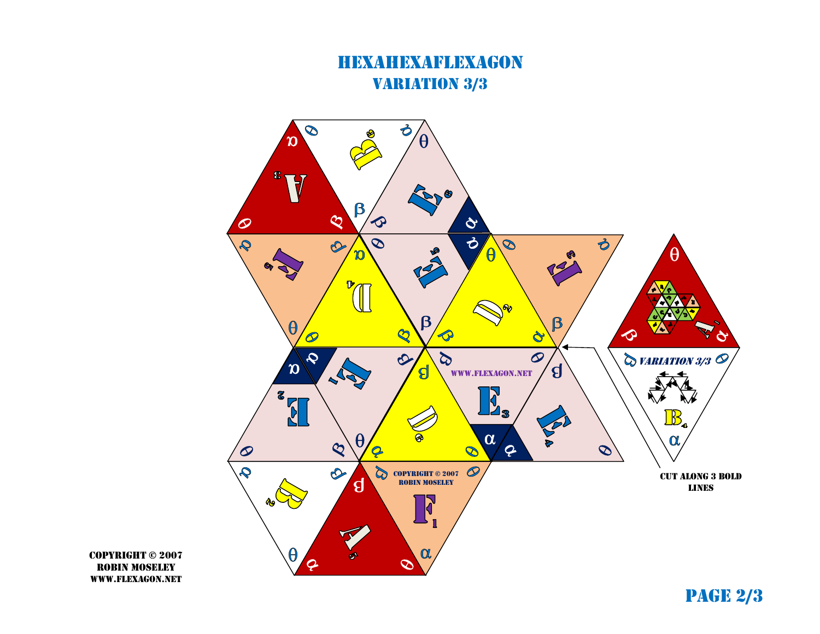## HEXAHEXAFLEXAGONVARIATION 3/3



COPYRIGHT © 2007ROBIN MOSELEYWWW.FLEXAGON.NET